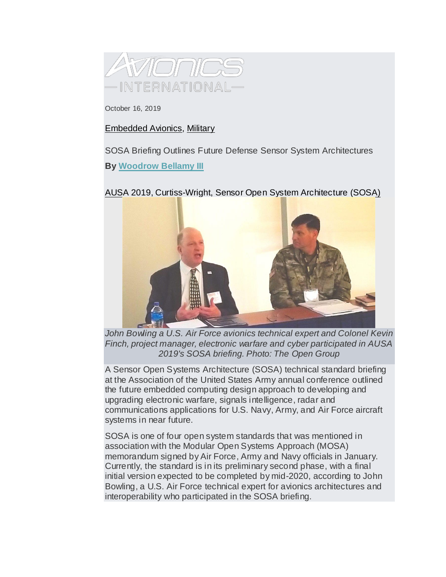

October 16, 2019

## [Embedded Avionics,](https://www.aviationtoday.com/category/embedded-avionics) [Military](https://www.aviationtoday.com/category/military)

SOSA Briefing Outlines Future Defense Sensor System Architectures **By [Woodrow Bellamy III](https://www.aviationtoday.com/author/wbellamyaccessintel-com)**

[AUSA 2019,](https://www.aviationtoday.com/?s=&facets%5btaxonomy_post_tag%5d%5b%5d=ausa+2019) [Curtiss-Wright,](https://www.aviationtoday.com/?s=&facets%5btaxonomy_post_tag%5d%5b%5d=curtiss-wright) [Sensor Open System Architecture \(SOSA\)](https://www.aviationtoday.com/?s=&facets%5btaxonomy_post_tag%5d%5b%5d=sensor+open+system+architecture+%28sosa%29)



John Bowling a U.S. Air Force avionics technical expert and Colonel Kevin *Finch, project manager, electronic warfare and cyber participated in AUSA 2019's SOSA briefing. Photo: The Open Group*

A Sensor Open Systems Architecture (SOSA) technical standard briefing at the Association of the United States Army annual conference outlined the future embedded computing design approach to developing and upgrading electronic warfare, signals intelligence, radar and communications applications for U.S. Navy, Army, and Air Force aircraft systems in near future.

SOSA is one of four open system standards that was mentioned in association with the Modular Open Systems Approach (MOSA) memorandum signed by Air Force, Army and Navy officials in January. Currently, the standard is in its preliminary second phase, with a final initial version expected to be completed by mid-2020, according to John Bowling, a U.S. Air Force technical expert for avionics architectures and interoperability who participated in the SOSA briefing.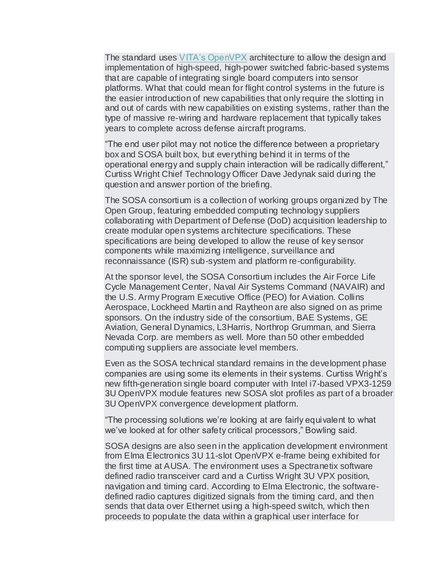The standard uses [VITA's OpenVPX](http://interactive.aviationtoday.com/avionicsmagazine/february-2019/how-vita-standards-are-making-avionics-cots-adoption-speedier/) architecture to allow the design and implementation of high-speed, high-power switched fabric-based systems that are capable of integrating single board computers into sensor platforms. What that could mean for flight control systems in the future is the easier introduction of new capabilities that only require the slotting in and out of cards with new capabilities on existing systems, rather than the type of massive re-wiring and hardware replacement that typically takes years to complete across defense aircraft programs.

"The end user pilot may not notice the difference between a proprietary box and SOSA built box, but everything behind it in terms of the operational energy and supply chain interaction will be radically different," Curtiss Wright Chief Technology Officer Dave Jedynak said during the question and answer portion of the briefing.

The SOSA consortium is a collection of working groups organized by The Open Group, featuring embedded computing technology suppliers collaborating with Department of Defense (DoD) acquisition leadership to create modular open systems architecture specifications. These specifications are being developed to allow the reuse of key sensor components while maximizing intelligence, surveillance and reconnaissance (ISR) sub-system and platform re-configurability.

At the sponsor level, the SOSA Consortium includes the Air Force Life Cycle Management Center, Naval Air Systems Command (NAVAIR) and the U.S. Army Program Executive Office (PEO) for Aviation. Collins Aerospace, Lockheed Martin and Raytheon are also signed on as prime sponsors. On the industry side of the consortium, BAE Systems, GE Aviation, General Dynamics, L3Harris, Northrop Grumman, and Sierra Nevada Corp. are members as well. More than 50 other embedded computing suppliers are associate level members.

Even as the SOSA technical standard remains in the development phase companies are using some its elements in their systems. Curtiss Wright's new fifth-generation single board computer with Intel i7-based VPX3-1259 3U OpenVPX module features new SOSA slot profiles as part of a broader 3U OpenVPX convergence development platform.

"The processing solutions we're looking at are fairly equivalent to what we've looked at for other safety critical processors," Bowling said.

SOSA designs are also seen in the application development environment from Elma Electronics 3U 11-slot OpenVPX e-frame being exhibited for the first time at AUSA. The environment uses a Spectranetix software defined radio transceiver card and a Curtiss Wright 3U VPX position, navigation and timing card. According to Elma Electronic, the softwaredefined radio captures digitized signals from the timing card, and then sends that data over Ethernet using a high-speed switch, which then proceeds to populate the data within a graphical user interface for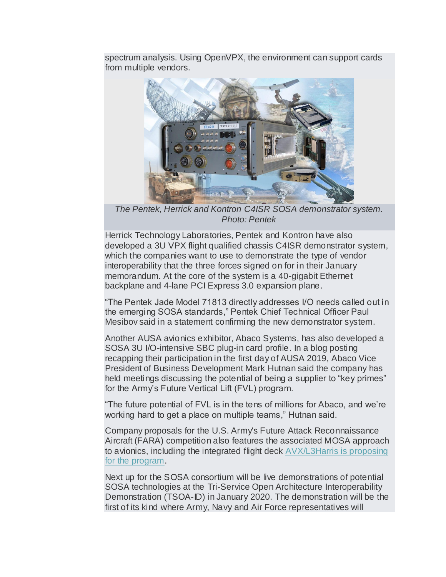spectrum analysis. Using OpenVPX, the environment can support cards from multiple vendors.



*The Pentek, Herrick and Kontron C4ISR SOSA demonstrator system. Photo: Pentek*

Herrick Technology Laboratories, Pentek and Kontron have also developed a 3U VPX flight qualified chassis C4ISR demonstrator system, which the companies want to use to demonstrate the type of vendor interoperability that the three forces signed on for in their January memorandum. At the core of the system is a 40-gigabit Ethernet backplane and 4-lane PCI Express 3.0 expansion plane.

"The Pentek Jade Model 71813 directly addresses I/O needs called out in the emerging SOSA standards," Pentek Chief Technical Officer Paul Mesibov said in a statement confirming the new demonstrator system.

Another AUSA avionics exhibitor, Abaco Systems, has also developed a SOSA 3U I/O-intensive SBC plug-in card profile. In a blog posting recapping their participation in the first day of AUSA 2019, Abaco Vice President of Business Development Mark Hutnan said the company has held meetings discussing the potential of being a supplier to "key primes" for the Army's Future Vertical Lift (FVL) program.

"The future potential of FVL is in the tens of millions for Abaco, and we're working hard to get a place on multiple teams," Hutnan said.

Company proposals for the U.S. Army's Future Attack Reconnaissance Aircraft (FARA) competition also features the associated MOSA approach to avionics, including the integrated flight deck [AVX/L3Harris is proposing](https://www.aviationtoday.com/2019/10/15/fara-proposals-feature-modular-open-systems-approach-avionics/)  [for the program.](https://www.aviationtoday.com/2019/10/15/fara-proposals-feature-modular-open-systems-approach-avionics/)

Next up for the SOSA consortium will be live demonstrations of potential SOSA technologies at the Tri-Service Open Architecture Interoperability Demonstration (TSOA-ID) in January 2020. The demonstration will be the first of its kind where Army, Navy and Air Force representatives will